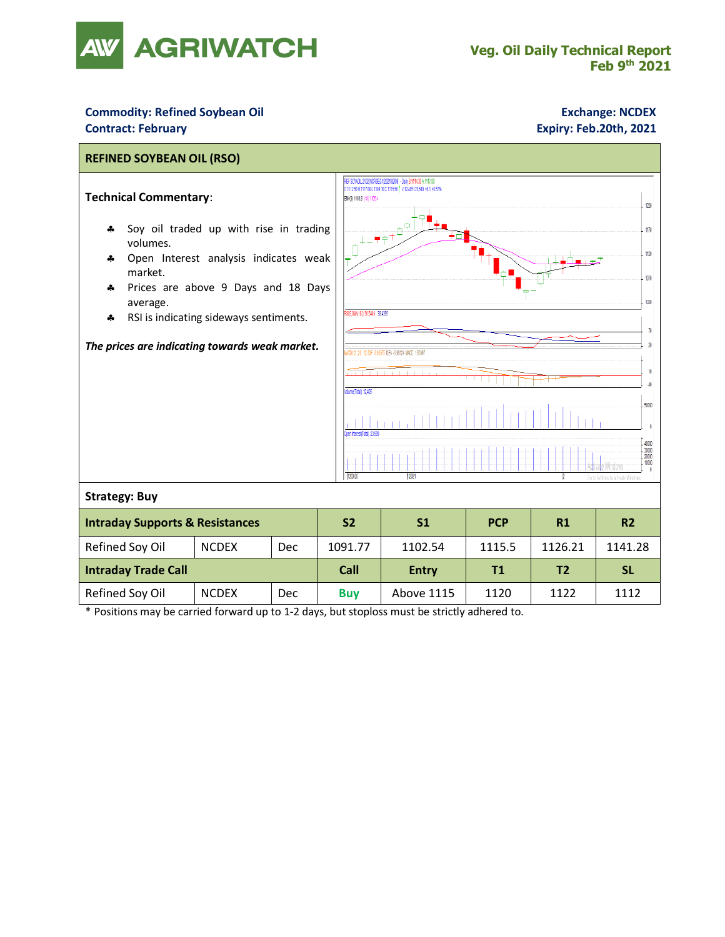

## **Commodity: Refined Soybean Oil <b>Exchange: NCDEX Contract: February Expiry: Feb.20th, 2021**